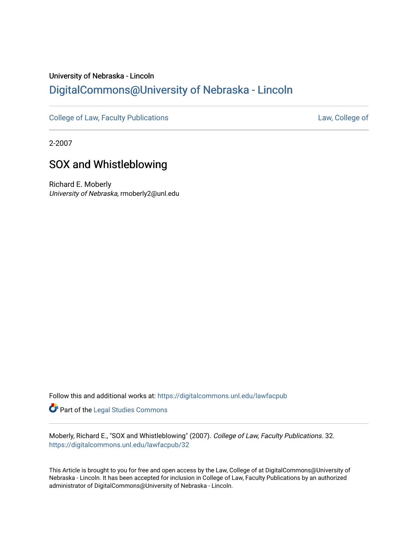## University of Nebraska - Lincoln [DigitalCommons@University of Nebraska - Lincoln](https://digitalcommons.unl.edu/)

[College of Law, Faculty Publications](https://digitalcommons.unl.edu/lawfacpub) **[Law, College of](https://digitalcommons.unl.edu/law) Law, College of** 

2-2007

## SOX and Whistleblowing

Richard E. Moberly University of Nebraska, rmoberly2@unl.edu

Follow this and additional works at: [https://digitalcommons.unl.edu/lawfacpub](https://digitalcommons.unl.edu/lawfacpub?utm_source=digitalcommons.unl.edu%2Flawfacpub%2F32&utm_medium=PDF&utm_campaign=PDFCoverPages) 

Part of the [Legal Studies Commons](http://network.bepress.com/hgg/discipline/366?utm_source=digitalcommons.unl.edu%2Flawfacpub%2F32&utm_medium=PDF&utm_campaign=PDFCoverPages) 

Moberly, Richard E., "SOX and Whistleblowing" (2007). College of Law, Faculty Publications. 32. [https://digitalcommons.unl.edu/lawfacpub/32](https://digitalcommons.unl.edu/lawfacpub/32?utm_source=digitalcommons.unl.edu%2Flawfacpub%2F32&utm_medium=PDF&utm_campaign=PDFCoverPages)

This Article is brought to you for free and open access by the Law, College of at DigitalCommons@University of Nebraska - Lincoln. It has been accepted for inclusion in College of Law, Faculty Publications by an authorized administrator of DigitalCommons@University of Nebraska - Lincoln.